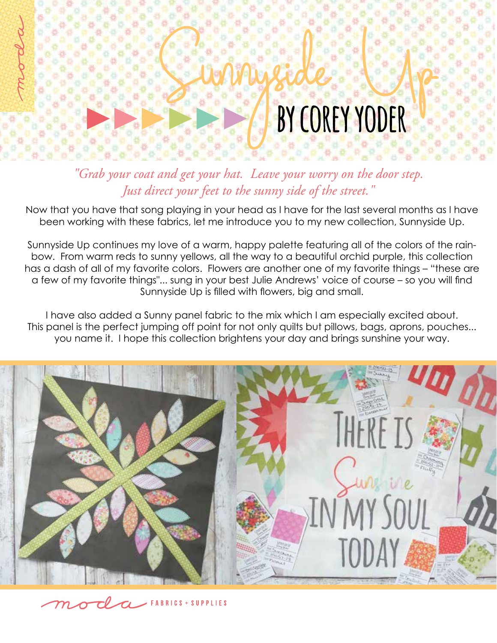# BY COREY YODER

*"Grab your coat and get your hat. Leave your worry on the door step. Just direct your feet to the sunny side of the street."* 

Now that you have that song playing in your head as I have for the last several months as I have been working with these fabrics, let me introduce you to my new collection, Sunnyside Up.

Sunnyside Up continues my love of a warm, happy palette featuring all of the colors of the rainbow. From warm reds to sunny yellows, all the way to a beautiful orchid purple, this collection has a dash of all of my favorite colors. Flowers are another one of my favorite things – "these are a few of my favorite things"... sung in your best Julie Andrews' voice of course – so you will find Sunnyside Up is filled with flowers, big and small.

I have also added a Sunny panel fabric to the mix which I am especially excited about. This panel is the perfect jumping off point for not only quilts but pillows, bags, aprons, pouches... you name it. I hope this collection brightens your day and brings sunshine your way.



**FABRICS + SUPPLIES**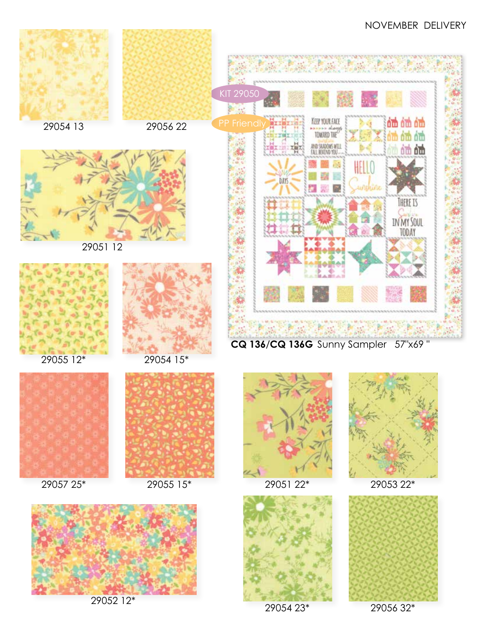### NOVEMBER DELIVERY



29052 12\*

29054 23\* 29056 32\*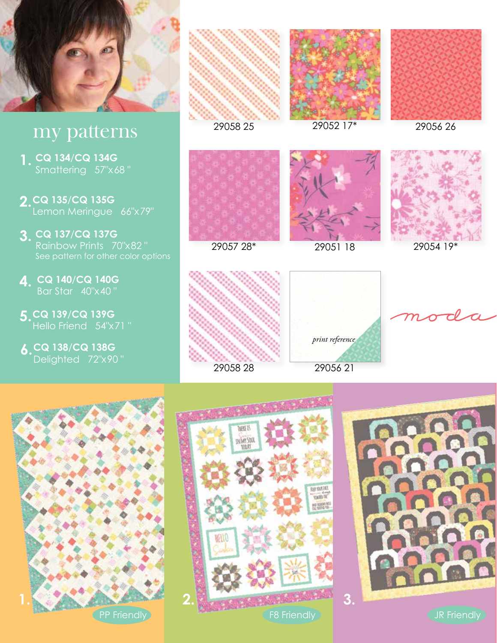

# my patterns

- **CQ 134**/**CQ 134G** Smattering 57"x68" **1.**
- **CQ 135**/**CQ 135G 2.** Lemon Meringue 66"x79"
- **CQ 137**/**CQ 137G 3.** Rainbow Prints 70"x82 "
- **CQ 140**/**CQ 140G 4.**
- **CQ 139**/**CQ 139G 5.** Hello Friend 54"x71"
- **CQ 138**/**CQ 138G 6.** Delighted 72"x90"



29057 28\* 29051 18 29054 19\*







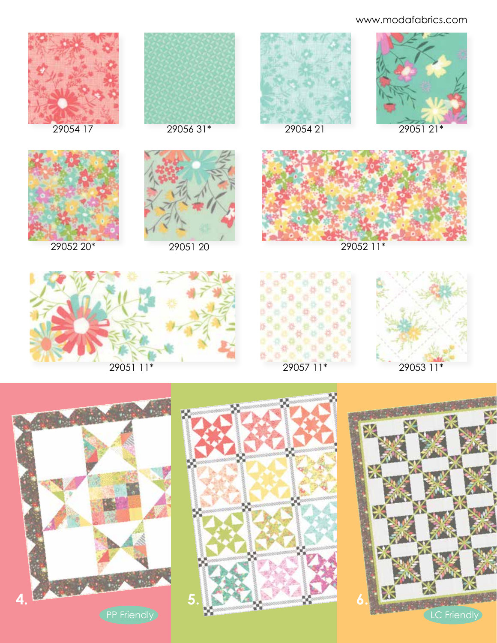## www.modafabrics.com



22 PP Friendly LC Friendly

**4. 5. 6.**





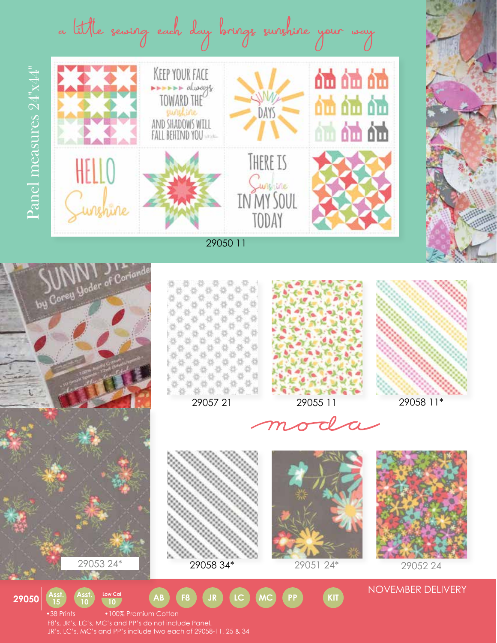

by Corey Yoder of Cortando LC Friendly ä 썺 ₩ 쁁 肴 法  $3.78$ 29057 21 29055 11 29058 11\*  $\tau\!\ell$ 29053 24\*29058 34\* 29051 24\* 29052 24 NOVEMBER DELIVERY

**<sup>10</sup> AB F8 JR LC MC PP KIT**

•38 Prints •100% Premium Cotton F8's, JR's, LC's, MC's and PP's do not include Panel. JR's, LC's, MC's and PP's include two each of 29058-11, 25 & 34

**10 Low Cal**

**29050 Asst.**

**15**